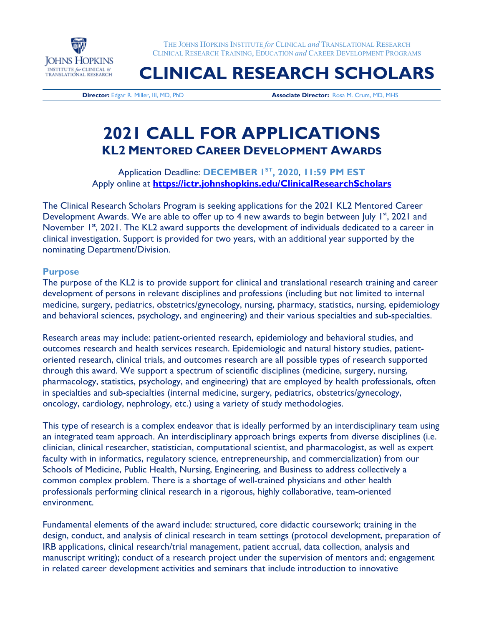

THE JOHNS HOPKINS INSTITUTE *for* CLINICAL *and* TRANSLATIONAL RESEARCH CLINICAL RESEARCH TRAINING, EDUCATION *and* CAREER DEVELOPMENT PROGRAMS

# **CLINICAL RESEARCH SCHOLARS**

**Director:** Edgar R. Miller, III, MD, PhD **Associate Director:** Rosa M. Crum, MD, MHS

## **2021 CALL FOR APPLICATIONS KL2 MENTORED CAREER DEVELOPMENT AWARDS**

Application Deadline: **DECEMBER 1ST, 2020**, **11:59 PM EST** Apply online at **<https://ictr.johnshopkins.edu/ClinicalResearchScholars>**

The Clinical Research Scholars Program is seeking applications for the 2021 KL2 Mentored Career Development Awards. We are able to offer up to 4 new awards to begin between July  $I^{st}$ , 2021 and November 1<sup>st</sup>, 2021. The KL2 award supports the development of individuals dedicated to a career in clinical investigation. Support is provided for two years, with an additional year supported by the nominating Department/Division.

#### **Purpose**

The purpose of the KL2 is to provide support for clinical and translational research training and career development of persons in relevant disciplines and professions (including but not limited to internal medicine, surgery, pediatrics, obstetrics/gynecology, nursing, pharmacy, statistics, nursing, epidemiology and behavioral sciences, psychology, and engineering) and their various specialties and sub-specialties.

Research areas may include: patient-oriented research, epidemiology and behavioral studies, and outcomes research and health services research. Epidemiologic and natural history studies, patientoriented research, clinical trials, and outcomes research are all possible types of research supported through this award. We support a spectrum of scientific disciplines (medicine, surgery, nursing, pharmacology, statistics, psychology, and engineering) that are employed by health professionals, often in specialties and sub-specialties (internal medicine, surgery, pediatrics, obstetrics/gynecology, oncology, cardiology, nephrology, etc.) using a variety of study methodologies.

This type of research is a complex endeavor that is ideally performed by an interdisciplinary team using an integrated team approach. An interdisciplinary approach brings experts from diverse disciplines (i.e. clinician, clinical researcher, statistician, computational scientist, and pharmacologist, as well as expert faculty with in informatics, regulatory science, entrepreneurship, and commercialization) from our Schools of Medicine, Public Health, Nursing, Engineering, and Business to address collectively a common complex problem. There is a shortage of well-trained physicians and other health professionals performing clinical research in a rigorous, highly collaborative, team-oriented environment.

Fundamental elements of the award include: structured, core didactic coursework; training in the design, conduct, and analysis of clinical research in team settings (protocol development, preparation of IRB applications, clinical research/trial management, patient accrual, data collection, analysis and manuscript writing); conduct of a research project under the supervision of mentors and; engagement in related career development activities and seminars that include introduction to innovative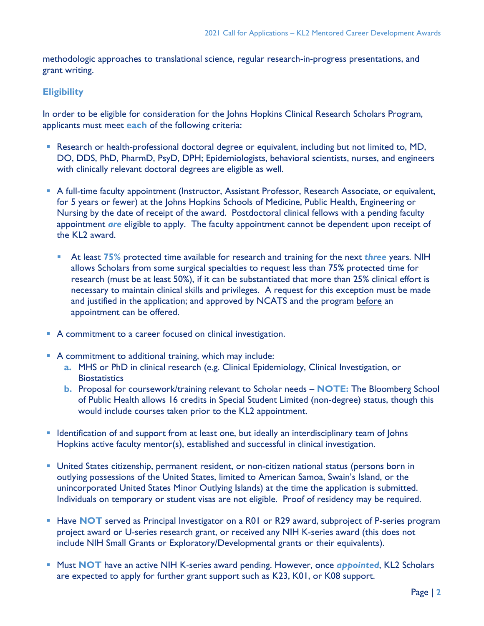methodologic approaches to translational science, regular research-in-progress presentations, and grant writing.

#### **Eligibility**

In order to be eligible for consideration for the Johns Hopkins Clinical Research Scholars Program, applicants must meet **each** of the following criteria:

- Research or health-professional doctoral degree or equivalent, including but not limited to, MD, DO, DDS, PhD, PharmD, PsyD, DPH; Epidemiologists, behavioral scientists, nurses, and engineers with clinically relevant doctoral degrees are eligible as well.
- A full-time faculty appointment (Instructor, Assistant Professor, Research Associate, or equivalent, for 5 years or fewer) at the Johns Hopkins Schools of Medicine, Public Health, Engineering or Nursing by the date of receipt of the award. Postdoctoral clinical fellows with a pending faculty appointment *are* eligible to apply. The faculty appointment cannot be dependent upon receipt of the KL2 award.
	- At least **75%** protected time available for research and training for the next *three* years. NIH allows Scholars from some surgical specialties to request less than 75% protected time for research (must be at least 50%), if it can be substantiated that more than 25% clinical effort is necessary to maintain clinical skills and privileges. A request for this exception must be made and justified in the application; and approved by NCATS and the program before an appointment can be offered.
- A commitment to a career focused on clinical investigation.
- A commitment to additional training, which may include:
	- **a.** MHS or PhD in clinical research (e.g. Clinical Epidemiology, Clinical Investigation, or **Biostatistics**
	- **b.** Proposal for coursework/training relevant to Scholar needs **NOTE:** The Bloomberg School of Public Health allows 16 credits in Special Student Limited (non-degree) status, though this would include courses taken prior to the KL2 appointment.
- **If Identification of and support from at least one, but ideally an interdisciplinary team of Johns** Hopkins active faculty mentor(s), established and successful in clinical investigation.
- United States citizenship, permanent resident, or non-citizen national status (persons born in outlying possessions of the United States, limited to American Samoa, Swain's Island, or the unincorporated United States Minor Outlying Islands) at the time the application is submitted. Individuals on temporary or student visas are not eligible. Proof of residency may be required.
- **Have NOT** served as Principal Investigator on a R01 or R29 award, subproject of P-series program project award or U-series research grant, or received any NIH K-series award (this does not include NIH Small Grants or Exploratory/Developmental grants or their equivalents).
- **Must NOT** have an active NIH K-series award pending. However, once *appointed*, KL2 Scholars are expected to apply for further grant support such as K23, K01, or K08 support.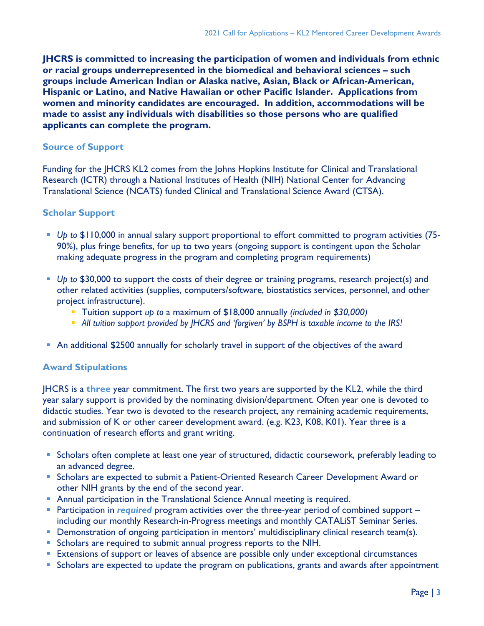**JHCRS is committed to increasing the participation of women and individuals from ethnic or racial groups underrepresented in the biomedical and behavioral sciences – such groups include American Indian or Alaska native, Asian, Black or African-American, Hispanic or Latino, and Native Hawaiian or other Pacific Islander. Applications from women and minority candidates are encouraged. In addition, accommodations will be made to assist any individuals with disabilities so those persons who are qualified applicants can complete the program.**

#### **Source of Support**

Funding for the JHCRS KL2 comes from the Johns Hopkins Institute for Clinical and Translational Research (ICTR) through a National Institutes of Health (NIH) National Center for Advancing Translational Science (NCATS) funded Clinical and Translational Science Award (CTSA).

#### **Scholar Support**

- *Up to* \$110,000 in annual salary support proportional to effort committed to program activities (75- 90%), plus fringe benefits, for up to two years (ongoing support is contingent upon the Scholar making adequate progress in the program and completing program requirements)
- *Up to* \$30,000 to support the costs of their degree or training programs, research project(s) and other related activities (supplies, computers/software, biostatistics services, personnel, and other project infrastructure).
	- Tuition support *up to* a maximum of \$18,000 annually *(included in \$30,000)*
	- *All tuition support provided by JHCRS and 'forgiven' by BSPH is taxable income to the IRS!*
- An additional \$2500 annually for scholarly travel in support of the objectives of the award

#### **Award Stipulations**

JHCRS is a **three** year commitment. The first two years are supported by the KL2, while the third year salary support is provided by the nominating division/department. Often year one is devoted to didactic studies. Year two is devoted to the research project, any remaining academic requirements, and submission of K or other career development award. (e.g. K23, K08, K01). Year three is a continuation of research efforts and grant writing.

- **Scholars often complete at least one year of structured, didactic coursework, preferably leading to** an advanced degree.
- **Scholars are expected to submit a Patient-Oriented Research Career Development Award or** other NIH grants by the end of the second year.
- Annual participation in the Translational Science Annual meeting is required.
- **Participation in** *required* program activities over the three-year period of combined support including our monthly Research-in-Progress meetings and monthly CATALiST Seminar Series.
- **•** Demonstration of ongoing participation in mentors' multidisciplinary clinical research team(s).
- Scholars are required to submit annual progress reports to the NIH.
- **Extensions of support or leaves of absence are possible only under exceptional circumstances**
- **Scholars are expected to update the program on publications, grants and awards after appointment**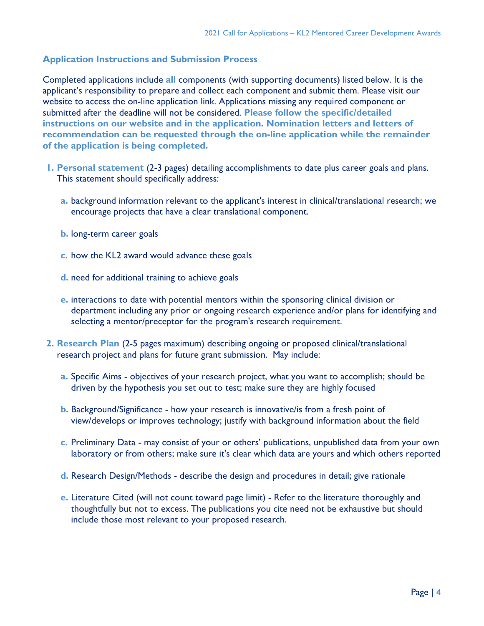### **Application Instructions and Submission Process**

Completed applications include **all** components (with supporting documents) listed below. It is the applicant's responsibility to prepare and collect each component and submit them. Please visit our website to access the on-line application link. Applications missing any required component or submitted after the deadline will not be considered. **Please follow the specific/detailed instructions on our website and in the application. Nomination letters and letters of recommendation can be requested through the on-line application while the remainder of the application is being completed.** 

- **1. Personal statement** (2-3 pages) detailing accomplishments to date plus career goals and plans. This statement should specifically address:
	- **a.** background information relevant to the applicant's interest in clinical/translational research; we encourage projects that have a clear translational component.
	- **b.** long-term career goals
	- **c.** how the KL2 award would advance these goals
	- **d.** need for additional training to achieve goals
	- **e.** interactions to date with potential mentors within the sponsoring clinical division or department including any prior or ongoing research experience and/or plans for identifying and selecting a mentor/preceptor for the program's research requirement.
- **2. Research Plan** (2-5 pages maximum) describing ongoing or proposed clinical/translational research project and plans for future grant submission. May include:
	- **a.** Specific Aims objectives of your research project, what you want to accomplish; should be driven by the hypothesis you set out to test; make sure they are highly focused
	- **b.** Background/Significance how your research is innovative/is from a fresh point of view/develops or improves technology; justify with background information about the field
	- **c.** Preliminary Data may consist of your or others' publications, unpublished data from your own laboratory or from others; make sure it's clear which data are yours and which others reported
	- **d.** Research Design/Methods describe the design and procedures in detail; give rationale
	- **e.** Literature Cited (will not count toward page limit) Refer to the literature thoroughly and thoughtfully but not to excess. The publications you cite need not be exhaustive but should include those most relevant to your proposed research.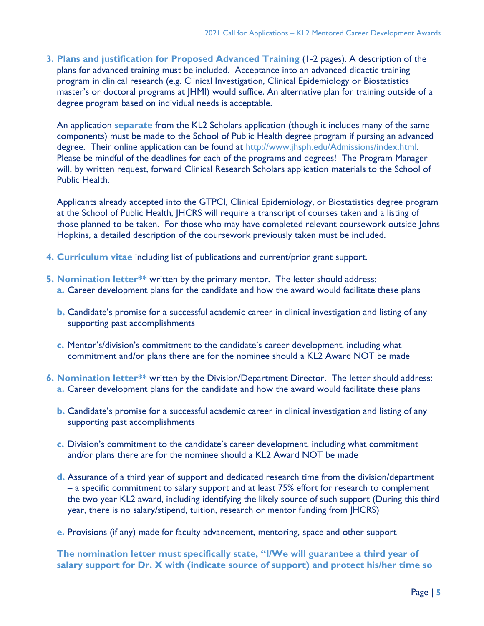**3. Plans and justification for Proposed Advanced Training** (1-2 pages). A description of the plans for advanced training must be included. Acceptance into an advanced didactic training program in clinical research (e.g. Clinical Investigation, Clinical Epidemiology or Biostatistics master's or doctoral programs at JHMI) would suffice. An alternative plan for training outside of a degree program based on individual needs is acceptable.

An application **separate** from the KL2 Scholars application (though it includes many of the same components) must be made to the School of Public Health degree program if pursing an advanced degree. Their online application can be found at [http://www.jhsph.edu/Admissions/index.html.](http://www.jhsph.edu/Admissions/index.html) Please be mindful of the deadlines for each of the programs and degrees! The Program Manager will, by written request, forward Clinical Research Scholars application materials to the School of Public Health.

Applicants already accepted into the GTPCI, Clinical Epidemiology, or Biostatistics degree program at the School of Public Health, JHCRS will require a transcript of courses taken and a listing of those planned to be taken. For those who may have completed relevant coursework outside Johns Hopkins, a detailed description of the coursework previously taken must be included.

- **4. Curriculum vitae** including list of publications and current/prior grant support.
- **5. Nomination letter\*\*** written by the primary mentor. The letter should address:
	- **a.** Career development plans for the candidate and how the award would facilitate these plans
	- **b.** Candidate's promise for a successful academic career in clinical investigation and listing of any supporting past accomplishments
	- **c.** Mentor's/division's commitment to the candidate's career development, including what commitment and/or plans there are for the nominee should a KL2 Award NOT be made
- **6. Nomination letter\*\*** written by the Division/Department Director. The letter should address: **a.** Career development plans for the candidate and how the award would facilitate these plans
	- **b.** Candidate's promise for a successful academic career in clinical investigation and listing of any supporting past accomplishments
	- **c.** Division's commitment to the candidate's career development, including what commitment and/or plans there are for the nominee should a KL2 Award NOT be made
	- **d.** Assurance of a third year of support and dedicated research time from the division/department – a specific commitment to salary support and at least 75% effort for research to complement the two year KL2 award, including identifying the likely source of such support (During this third year, there is no salary/stipend, tuition, research or mentor funding from JHCRS)
	- **e.** Provisions (if any) made for faculty advancement, mentoring, space and other support

**The nomination letter must specifically state, "I/We will guarantee a third year of salary support for Dr. X with (indicate source of support) and protect his/her time so**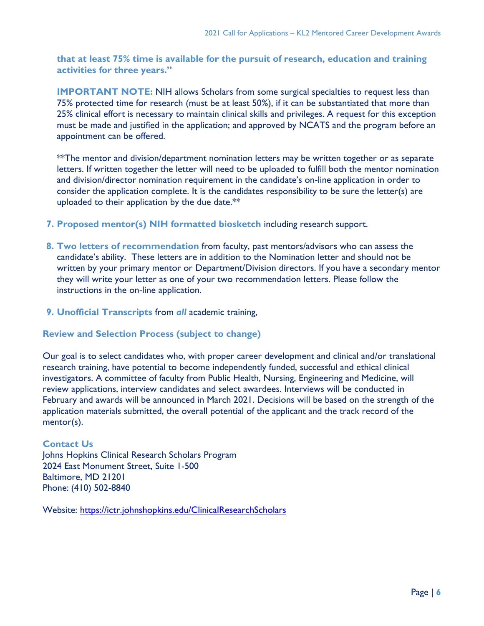**that at least 75% time is available for the pursuit of research, education and training activities for three years."**

**IMPORTANT NOTE:** NIH allows Scholars from some surgical specialties to request less than 75% protected time for research (must be at least 50%), if it can be substantiated that more than 25% clinical effort is necessary to maintain clinical skills and privileges. A request for this exception must be made and justified in the application; and approved by NCATS and the program before an appointment can be offered.

\*\*The mentor and division/department nomination letters may be written together or as separate letters. If written together the letter will need to be uploaded to fulfill both the mentor nomination and division/director nomination requirement in the candidate's on-line application in order to consider the application complete. It is the candidates responsibility to be sure the letter(s) are uploaded to their application by the due date.\*\*

- **7. Proposed mentor(s) NIH formatted biosketch** including research support.
- **8. Two letters of recommendation** from faculty, past mentors/advisors who can assess the candidate's ability. These letters are in addition to the Nomination letter and should not be written by your primary mentor or Department/Division directors. If you have a secondary mentor they will write your letter as one of your two recommendation letters. Please follow the instructions in the on-line application.
- **9. Unofficial Transcripts** from *all* academic training,

#### **Review and Selection Process (subject to change)**

Our goal is to select candidates who, with proper career development and clinical and/or translational research training, have potential to become independently funded, successful and ethical clinical investigators. A committee of faculty from Public Health, Nursing, Engineering and Medicine, will review applications, interview candidates and select awardees. Interviews will be conducted in February and awards will be announced in March 2021. Decisions will be based on the strength of the application materials submitted, the overall potential of the applicant and the track record of the mentor(s).

#### **Contact Us**

Johns Hopkins Clinical Research Scholars Program 2024 East Monument Street, Suite 1-500 Baltimore, MD 21201 Phone: (410) 502-8840

Website: <https://ictr.johnshopkins.edu/ClinicalResearchScholars>